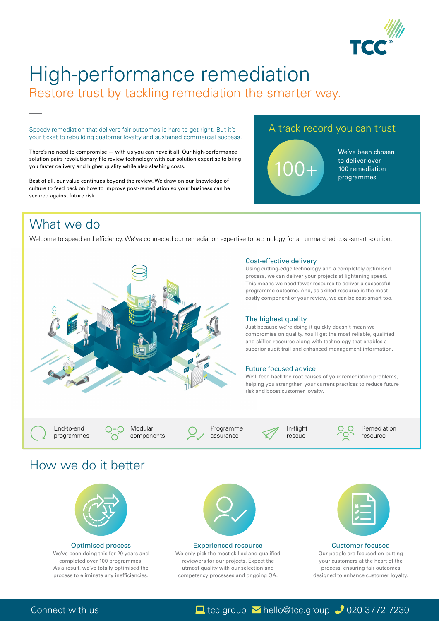

# High-performance remediation Restore trust by tackling remediation the smarter way.

Speedy remediation that delivers fair outcomes is hard to get right. But it's your ticket to rebuilding customer loyalty and sustained commercial success.

There's no need to compromise — with us you can have it all. Our high-performance solution pairs revolutionary file review technology with our solution expertise to bring you faster delivery and higher quality while also slashing costs.

Best of all, our value continues beyond the review. We draw on our knowledge of culture to feed back on how to improve post-remediation so your business can be secured against future risk.

Welcome to speed and efficiency. We've connected our remediation expertise to technology for an unmatched cost-smart solution:



### Cost-effective delivery

Using cutting-edge technology and a completely optimised process, we can deliver your projects at lightening speed. This means we need fewer resource to deliver a successful programme outcome. And, as skilled resource is the most costly component of your review, we can be cost-smart too.

### The highest quality

We only pick the most skilled and qualified reviewers for our projects. Expect the utmost quality with our selection and competency processes and ongoing QA.



Just because we're doing it quickly doesn't mean we compromise on quality. You'll get the most reliable, qualified and skilled resource along with technology that enables a superior audit trail and enhanced management information.

End-to-end programmes **Modular** 

components

Programme assurance



In-flight rescue



Remediation resource

We've been chosen to deliver over 100 remediation programmes

# What we do

## A track record you can trust



#### Future focused advice

We'll feed back the root causes of your remediation problems, helping you strengthen your current practices to reduce future risk and boost customer loyalty.

## How we do it better



#### Optimised process

We've been doing this for 20 years and completed over 100 programmes. As a result, we've totally optimised the process to eliminate any inefficiencies.



#### Customer focused

Our people are focused on putting your customers at the heart of the process, ensuring fair outcomes designed to enhance customer loyalty.

Connect with us Laptop Laptop tcc.group Mello@tcc.group 3772 7230

#### Experienced resource